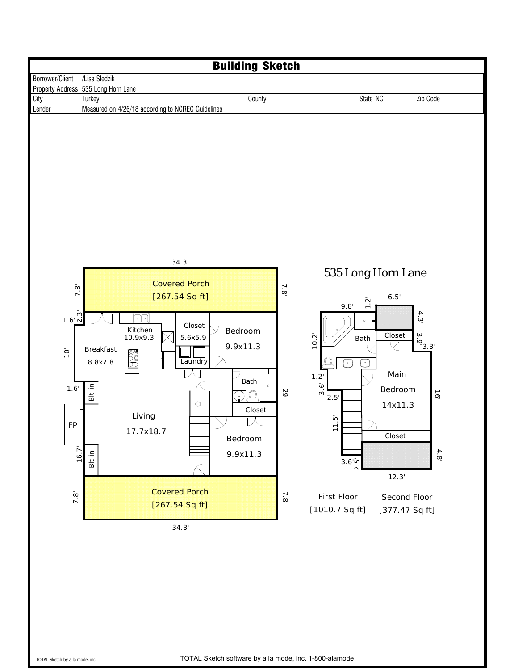